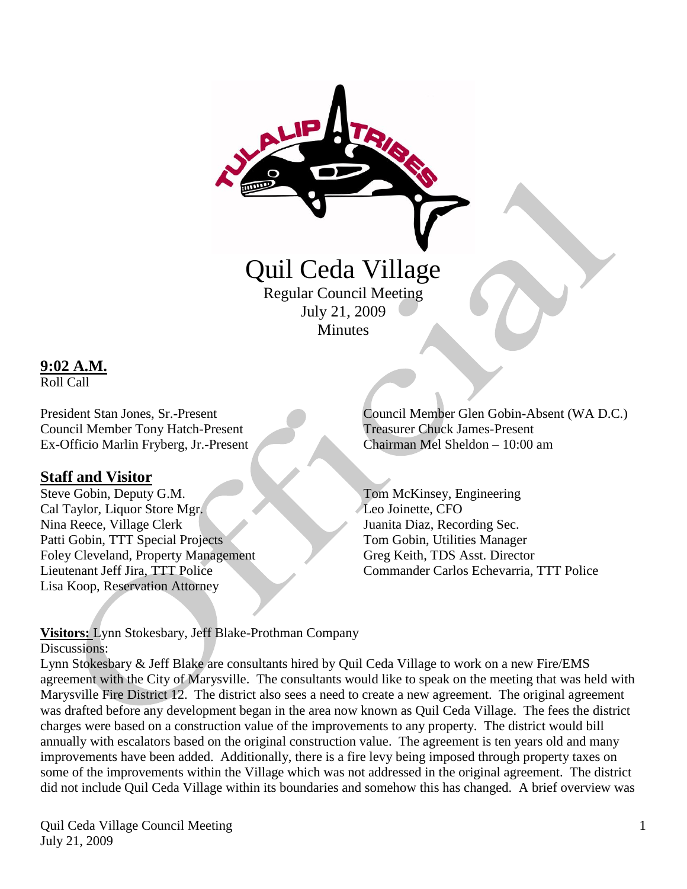

Quil Ceda Village Regular Council Meeting

July 21, 2009 **Minutes** 

**9:02 A.M.**

Roll Call

Council Member Tony Hatch-Present Treasurer Chuck James-Present Ex-Officio Marlin Fryberg, Jr.-Present Chairman Mel Sheldon – 10:00 am

### **Staff and Visitor**

Steve Gobin, Deputy G.M. Tom McKinsey, Engineering Cal Taylor, Liquor Store Mgr. Leo Joinette, CFO Nina Reece, Village Clerk Juanita Diaz, Recording Sec. Patti Gobin, TTT Special Projects Tom Gobin, Utilities Manager Foley Cleveland, Property Management Greg Keith, TDS Asst. Director Lisa Koop, Reservation Attorney

President Stan Jones, Sr.-Present Council Member Glen Gobin-Absent (WA D.C.)

Lieutenant Jeff Jira, TTT Police Commander Carlos Echevarria, TTT Police

**Visitors:** Lynn Stokesbary, Jeff Blake-Prothman Company Discussions:

Lynn Stokesbary & Jeff Blake are consultants hired by Quil Ceda Village to work on a new Fire/EMS agreement with the City of Marysville. The consultants would like to speak on the meeting that was held with Marysville Fire District 12. The district also sees a need to create a new agreement. The original agreement was drafted before any development began in the area now known as Quil Ceda Village. The fees the district charges were based on a construction value of the improvements to any property. The district would bill annually with escalators based on the original construction value. The agreement is ten years old and many improvements have been added. Additionally, there is a fire levy being imposed through property taxes on some of the improvements within the Village which was not addressed in the original agreement. The district did not include Quil Ceda Village within its boundaries and somehow this has changed. A brief overview was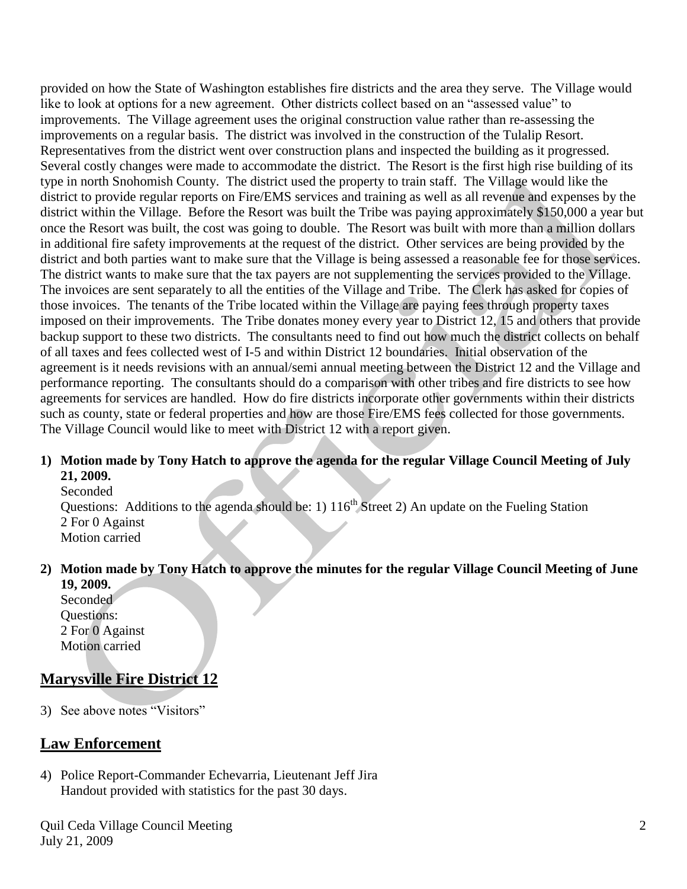provided on how the State of Washington establishes fire districts and the area they serve. The Village would like to look at options for a new agreement. Other districts collect based on an "assessed value" to improvements. The Village agreement uses the original construction value rather than re-assessing the improvements on a regular basis. The district was involved in the construction of the Tulalip Resort. Representatives from the district went over construction plans and inspected the building as it progressed. Several costly changes were made to accommodate the district. The Resort is the first high rise building of its type in north Snohomish County. The district used the property to train staff. The Village would like the district to provide regular reports on Fire/EMS services and training as well as all revenue and expenses by the district within the Village. Before the Resort was built the Tribe was paying approximately \$150,000 a year but once the Resort was built, the cost was going to double. The Resort was built with more than a million dollars in additional fire safety improvements at the request of the district. Other services are being provided by the district and both parties want to make sure that the Village is being assessed a reasonable fee for those services. The district wants to make sure that the tax payers are not supplementing the services provided to the Village. The invoices are sent separately to all the entities of the Village and Tribe. The Clerk has asked for copies of those invoices. The tenants of the Tribe located within the Village are paying fees through property taxes imposed on their improvements. The Tribe donates money every year to District 12, 15 and others that provide backup support to these two districts. The consultants need to find out how much the district collects on behalf of all taxes and fees collected west of I-5 and within District 12 boundaries. Initial observation of the agreement is it needs revisions with an annual/semi annual meeting between the District 12 and the Village and performance reporting. The consultants should do a comparison with other tribes and fire districts to see how agreements for services are handled. How do fire districts incorporate other governments within their districts such as county, state or federal properties and how are those Fire/EMS fees collected for those governments. The Village Council would like to meet with District 12 with a report given.

#### **1) Motion made by Tony Hatch to approve the agenda for the regular Village Council Meeting of July 21, 2009.**

Seconded Questions: Additions to the agenda should be: 1)  $116<sup>th</sup>$  Street 2) An update on the Fueling Station 2 For 0 Against Motion carried

#### **2) Motion made by Tony Hatch to approve the minutes for the regular Village Council Meeting of June 19, 2009.**

Seconded Questions: 2 For 0 Against Motion carried

# **Marysville Fire District 12**

3) See above notes "Visitors"

## **Law Enforcement**

4) Police Report-Commander Echevarria, Lieutenant Jeff Jira Handout provided with statistics for the past 30 days.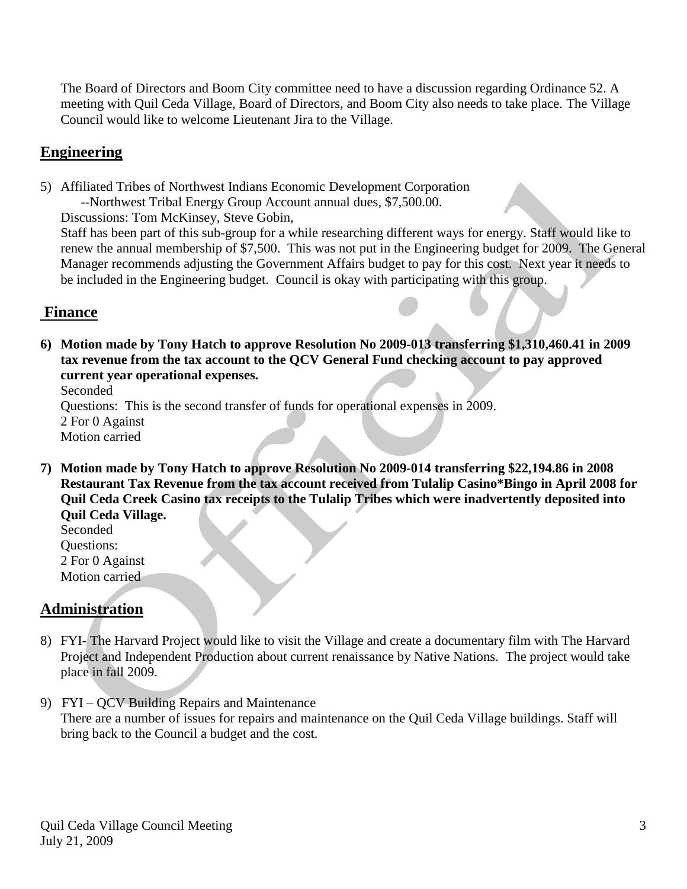The Board of Directors and Boom City committee need to have a discussion regarding Ordinance 52. A meeting with Quil Ceda Village, Board of Directors, and Boom City also needs to take place. The Village Council would like to welcome Lieutenant Jira to the Village.

## **Engineering**

5) Affiliated Tribes of Northwest Indians Economic Development Corporation --Northwest Tribal Energy Group Account annual dues, \$7,500.00.

Discussions: Tom McKinsey, Steve Gobin,

 Staff has been part of this sub-group for a while researching different ways for energy. Staff would like to renew the annual membership of \$7,500. This was not put in the Engineering budget for 2009. The General Manager recommends adjusting the Government Affairs budget to pay for this cost. Next year it needs to be included in the Engineering budget. Council is okay with participating with this group.

### **Finance**

**6) Motion made by Tony Hatch to approve Resolution No 2009-013 transferring \$1,310,460.41 in 2009 tax revenue from the tax account to the QCV General Fund checking account to pay approved current year operational expenses.**

Seconded

Questions: This is the second transfer of funds for operational expenses in 2009.

2 For 0 Against Motion carried

**7) Motion made by Tony Hatch to approve Resolution No 2009-014 transferring \$22,194.86 in 2008 Restaurant Tax Revenue from the tax account received from Tulalip Casino\*Bingo in April 2008 for Quil Ceda Creek Casino tax receipts to the Tulalip Tribes which were inadvertently deposited into Quil Ceda Village.**

Seconded Questions: 2 For 0 Against Motion carried

## **Administration**

- 8) FYI- The Harvard Project would like to visit the Village and create a documentary film with The Harvard Project and Independent Production about current renaissance by Native Nations. The project would take place in fall 2009.
- 9) FYI QCV Building Repairs and Maintenance There are a number of issues for repairs and maintenance on the Quil Ceda Village buildings. Staff will bring back to the Council a budget and the cost.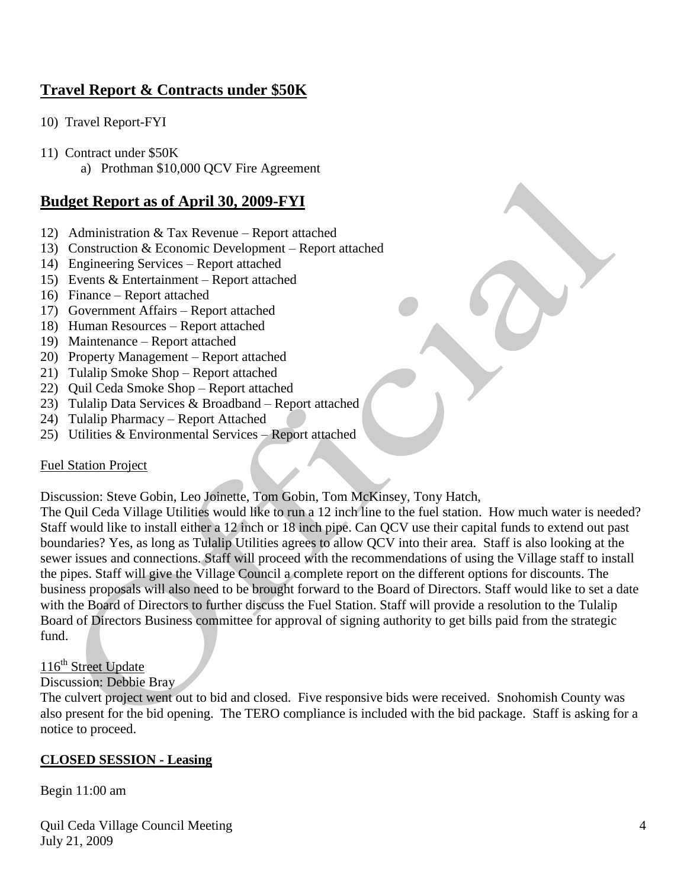# **Travel Report & Contracts under \$50K**

- 10) Travel Report-FYI
- 11) Contract under \$50K
	- a) Prothman \$10,000 QCV Fire Agreement

### **Budget Report as of April 30, 2009-FYI**

- 12) Administration & Tax Revenue Report attached
- 13) Construction & Economic Development Report attached
- 14) Engineering Services Report attached
- 15) Events & Entertainment Report attached
- 16) Finance Report attached
- 17) Government Affairs Report attached
- 18) Human Resources Report attached
- 19) Maintenance Report attached
- 20) Property Management Report attached
- 21) Tulalip Smoke Shop Report attached
- 22) Quil Ceda Smoke Shop Report attached
- 23) Tulalip Data Services & Broadband Report attached
- 24) Tulalip Pharmacy Report Attached
- 25) Utilities & Environmental Services Report attached

#### Fuel Station Project

Discussion: Steve Gobin, Leo Joinette, Tom Gobin, Tom McKinsey, Tony Hatch,

The Quil Ceda Village Utilities would like to run a 12 inch line to the fuel station. How much water is needed? Staff would like to install either a 12 inch or 18 inch pipe. Can QCV use their capital funds to extend out past boundaries? Yes, as long as Tulalip Utilities agrees to allow QCV into their area. Staff is also looking at the sewer issues and connections. Staff will proceed with the recommendations of using the Village staff to install the pipes. Staff will give the Village Council a complete report on the different options for discounts. The business proposals will also need to be brought forward to the Board of Directors. Staff would like to set a date with the Board of Directors to further discuss the Fuel Station. Staff will provide a resolution to the Tulalip Board of Directors Business committee for approval of signing authority to get bills paid from the strategic fund.

#### 116<sup>th</sup> Street Update

#### Discussion: Debbie Bray

The culvert project went out to bid and closed. Five responsive bids were received. Snohomish County was also present for the bid opening. The TERO compliance is included with the bid package. Staff is asking for a notice to proceed.

#### **CLOSED SESSION - Leasing**

#### Begin 11:00 am

Quil Ceda Village Council Meeting July 21, 2009